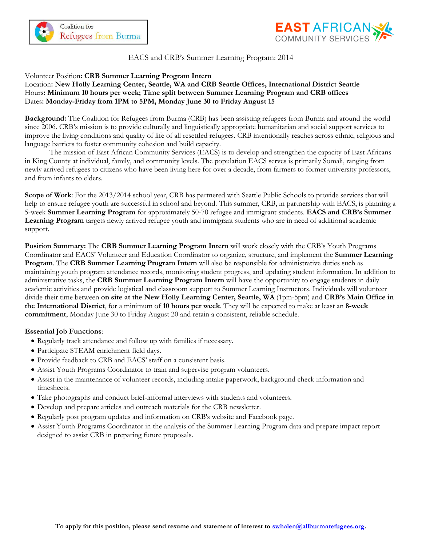



# EACS and CRB's Summer Learning Program: 2014

## Volunteer Position**: CRB Summer Learning Program Intern**

# Location**: New Holly Learning Center, Seattle, WA and CRB Seattle Offices, International District Seattle** Hours**: Minimum 10 hours per week; Time split between Summer Learning Program and CRB offices** Dates**: Monday-Friday from 1PM to 5PM, Monday June 30 to Friday August 15**

**Background:** The Coalition for Refugees from Burma (CRB) has been assisting refugees from Burma and around the world since 2006. CRB's mission is to provide culturally and linguistically appropriate humanitarian and social support services to improve the living conditions and quality of life of all resettled refugees. CRB intentionally reaches across ethnic, religious and language barriers to foster community cohesion and build capacity.

The mission of East African Community Services (EACS) is to develop and strengthen the capacity of East Africans in King County at individual, family, and community levels. The population EACS serves is primarily Somali, ranging from newly arrived refugees to citizens who have been living here for over a decade, from farmers to former university professors, and from infants to elders.

**Scope of Work**: For the 2013/2014 school year, CRB has partnered with Seattle Public Schools to provide services that will help to ensure refugee youth are successful in school and beyond. This summer, CRB, in partnership with EACS, is planning a 5-week **Summer Learning Program** for approximately 50-70 refugee and immigrant students. **EACS and CRB's Summer Learning Program** targets newly arrived refugee youth and immigrant students who are in need of additional academic support.

**Position Summary:** The **CRB Summer Learning Program Intern** will work closely with the CRB's Youth Programs Coordinator and EACS' Volunteer and Education Coordinator to organize, structure, and implement the **Summer Learning Program**. The **CRB Summer Learning Program Intern** will also be responsible for administrative duties such as maintaining youth program attendance records, monitoring student progress, and updating student information. In addition to administrative tasks, the **CRB Summer Learning Program Intern** will have the opportunity to engage students in daily academic activities and provide logistical and classroom support to Summer Learning Instructors. Individuals will volunteer divide their time between **on site at the New Holly Learning Center, Seattle, WA** (1pm-5pm) and **CRB's Main Office in the International District**, for a minimum of **10 hours per week**. They will be expected to make at least an **8-week commitment**, Monday June 30 to Friday August 20 and retain a consistent, reliable schedule.

## **Essential Job Functions**:

- Regularly track attendance and follow up with families if necessary.
- Participate STEAM enrichment field days.
- Provide feedback to CRB and EACS' staff on a consistent basis.
- Assist Youth Programs Coordinator to train and supervise program volunteers.
- Assist in the maintenance of volunteer records, including intake paperwork, background check information and timesheets.
- Take photographs and conduct brief-informal interviews with students and volunteers.
- Develop and prepare articles and outreach materials for the CRB newsletter.
- Regularly post program updates and information on CRB's website and Facebook page.
- Assist Youth Programs Coordinator in the analysis of the Summer Learning Program data and prepare impact report designed to assist CRB in preparing future proposals.